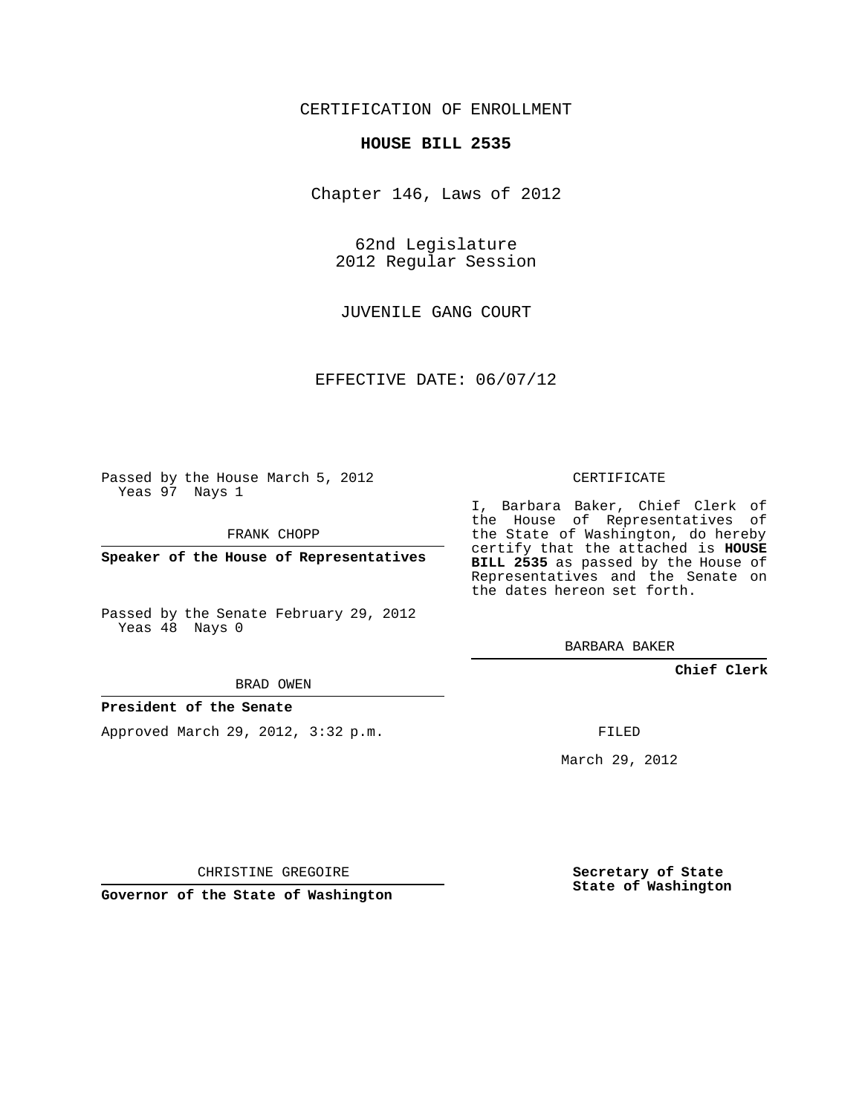# CERTIFICATION OF ENROLLMENT

### **HOUSE BILL 2535**

Chapter 146, Laws of 2012

62nd Legislature 2012 Regular Session

JUVENILE GANG COURT

EFFECTIVE DATE: 06/07/12

Passed by the House March 5, 2012 Yeas 97 Nays 1

FRANK CHOPP

**Speaker of the House of Representatives**

Passed by the Senate February 29, 2012 Yeas 48 Nays 0

BRAD OWEN

## **President of the Senate**

Approved March 29, 2012, 3:32 p.m.

CERTIFICATE

I, Barbara Baker, Chief Clerk of the House of Representatives of the State of Washington, do hereby certify that the attached is **HOUSE BILL 2535** as passed by the House of Representatives and the Senate on the dates hereon set forth.

BARBARA BAKER

**Chief Clerk**

FILED

March 29, 2012

**Secretary of State State of Washington**

CHRISTINE GREGOIRE

**Governor of the State of Washington**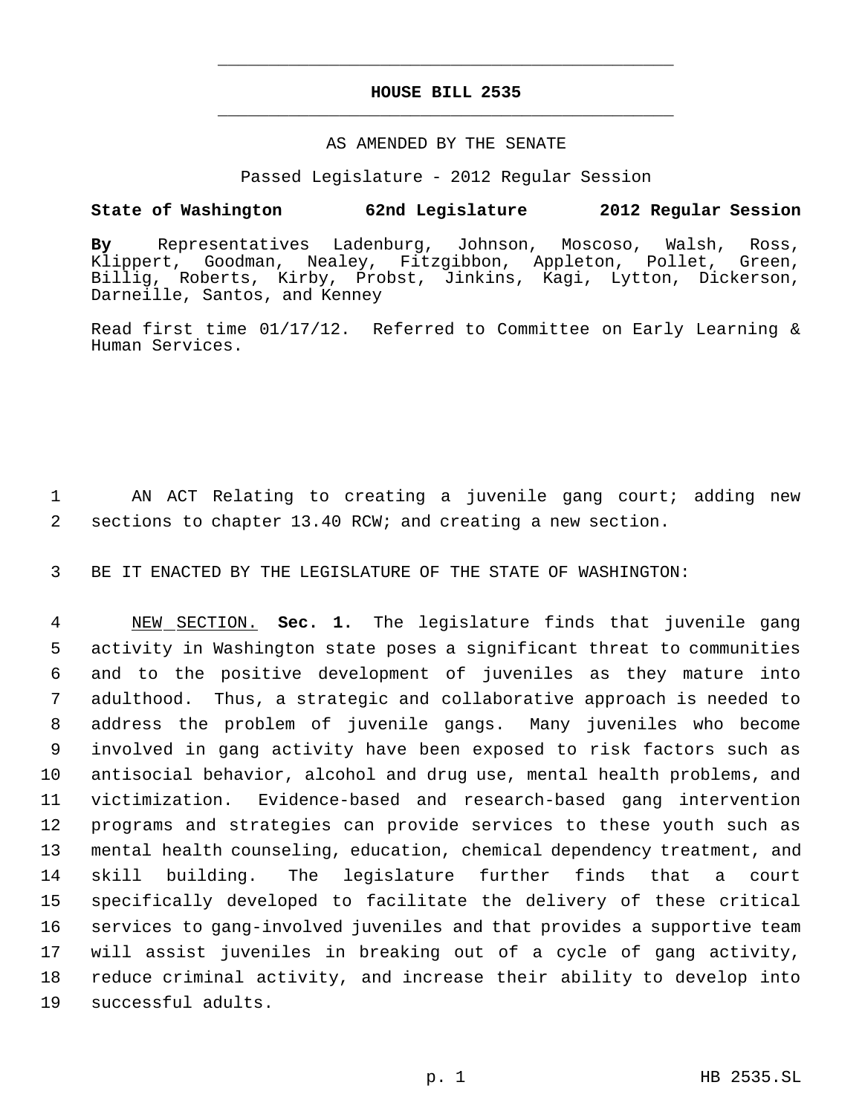# **HOUSE BILL 2535** \_\_\_\_\_\_\_\_\_\_\_\_\_\_\_\_\_\_\_\_\_\_\_\_\_\_\_\_\_\_\_\_\_\_\_\_\_\_\_\_\_\_\_\_\_

\_\_\_\_\_\_\_\_\_\_\_\_\_\_\_\_\_\_\_\_\_\_\_\_\_\_\_\_\_\_\_\_\_\_\_\_\_\_\_\_\_\_\_\_\_

### AS AMENDED BY THE SENATE

Passed Legislature - 2012 Regular Session

# **State of Washington 62nd Legislature 2012 Regular Session**

**By** Representatives Ladenburg, Johnson, Moscoso, Walsh, Ross, Klippert, Goodman, Nealey, Fitzgibbon, Appleton, Pollet, Green, Billig, Roberts, Kirby, Probst, Jinkins, Kagi, Lytton, Dickerson, Darneille, Santos, and Kenney

Read first time 01/17/12. Referred to Committee on Early Learning & Human Services.

1 AN ACT Relating to creating a juvenile gang court; adding new 2 sections to chapter 13.40 RCW; and creating a new section.

3 BE IT ENACTED BY THE LEGISLATURE OF THE STATE OF WASHINGTON:

 NEW SECTION. **Sec. 1.** The legislature finds that juvenile gang activity in Washington state poses a significant threat to communities and to the positive development of juveniles as they mature into adulthood. Thus, a strategic and collaborative approach is needed to address the problem of juvenile gangs. Many juveniles who become involved in gang activity have been exposed to risk factors such as antisocial behavior, alcohol and drug use, mental health problems, and victimization. Evidence-based and research-based gang intervention programs and strategies can provide services to these youth such as mental health counseling, education, chemical dependency treatment, and skill building. The legislature further finds that a court specifically developed to facilitate the delivery of these critical services to gang-involved juveniles and that provides a supportive team will assist juveniles in breaking out of a cycle of gang activity, reduce criminal activity, and increase their ability to develop into successful adults.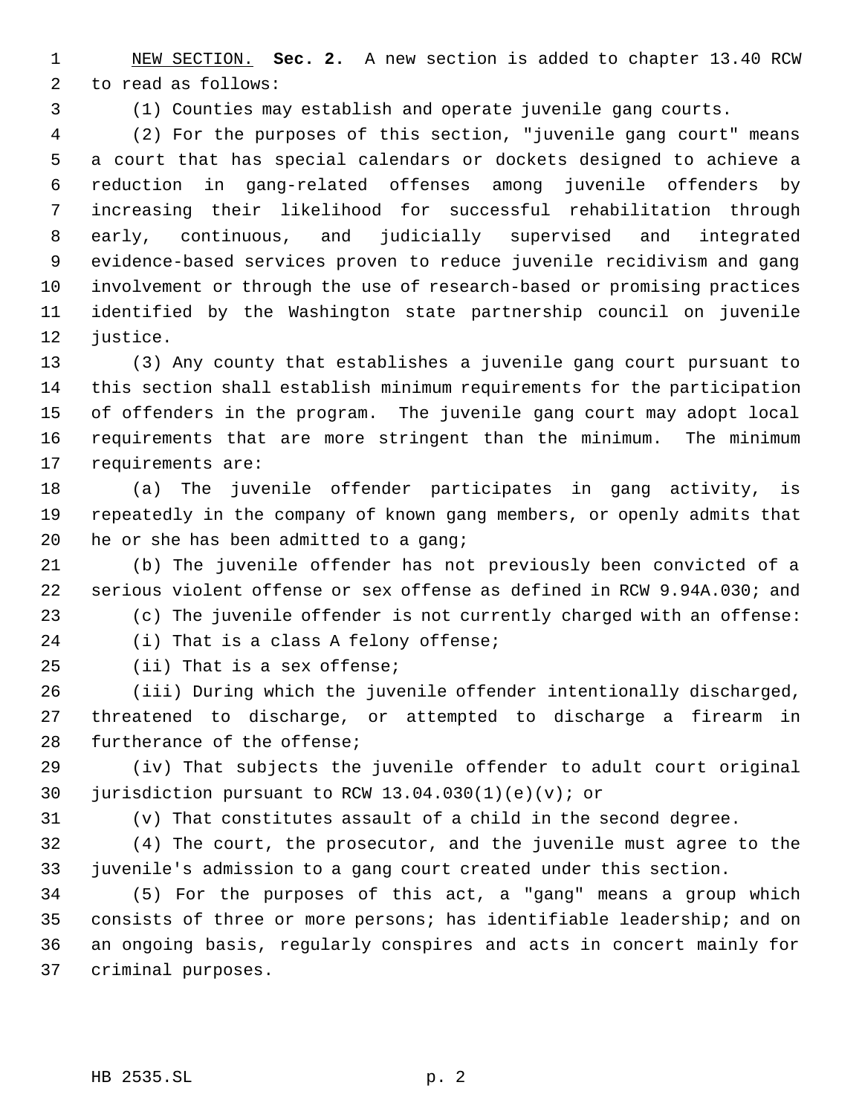NEW SECTION. **Sec. 2.** A new section is added to chapter 13.40 RCW to read as follows:

(1) Counties may establish and operate juvenile gang courts.

 (2) For the purposes of this section, "juvenile gang court" means a court that has special calendars or dockets designed to achieve a reduction in gang-related offenses among juvenile offenders by increasing their likelihood for successful rehabilitation through early, continuous, and judicially supervised and integrated evidence-based services proven to reduce juvenile recidivism and gang involvement or through the use of research-based or promising practices identified by the Washington state partnership council on juvenile justice.

 (3) Any county that establishes a juvenile gang court pursuant to this section shall establish minimum requirements for the participation of offenders in the program. The juvenile gang court may adopt local requirements that are more stringent than the minimum. The minimum requirements are:

 (a) The juvenile offender participates in gang activity, is repeatedly in the company of known gang members, or openly admits that 20 he or she has been admitted to a gang;

 (b) The juvenile offender has not previously been convicted of a serious violent offense or sex offense as defined in RCW 9.94A.030; and (c) The juvenile offender is not currently charged with an offense:

(i) That is a class A felony offense;

(ii) That is a sex offense;

 (iii) During which the juvenile offender intentionally discharged, threatened to discharge, or attempted to discharge a firearm in furtherance of the offense;

 (iv) That subjects the juvenile offender to adult court original jurisdiction pursuant to RCW 13.04.030(1)(e)(v); or

(v) That constitutes assault of a child in the second degree.

 (4) The court, the prosecutor, and the juvenile must agree to the juvenile's admission to a gang court created under this section.

 (5) For the purposes of this act, a "gang" means a group which consists of three or more persons; has identifiable leadership; and on an ongoing basis, regularly conspires and acts in concert mainly for criminal purposes.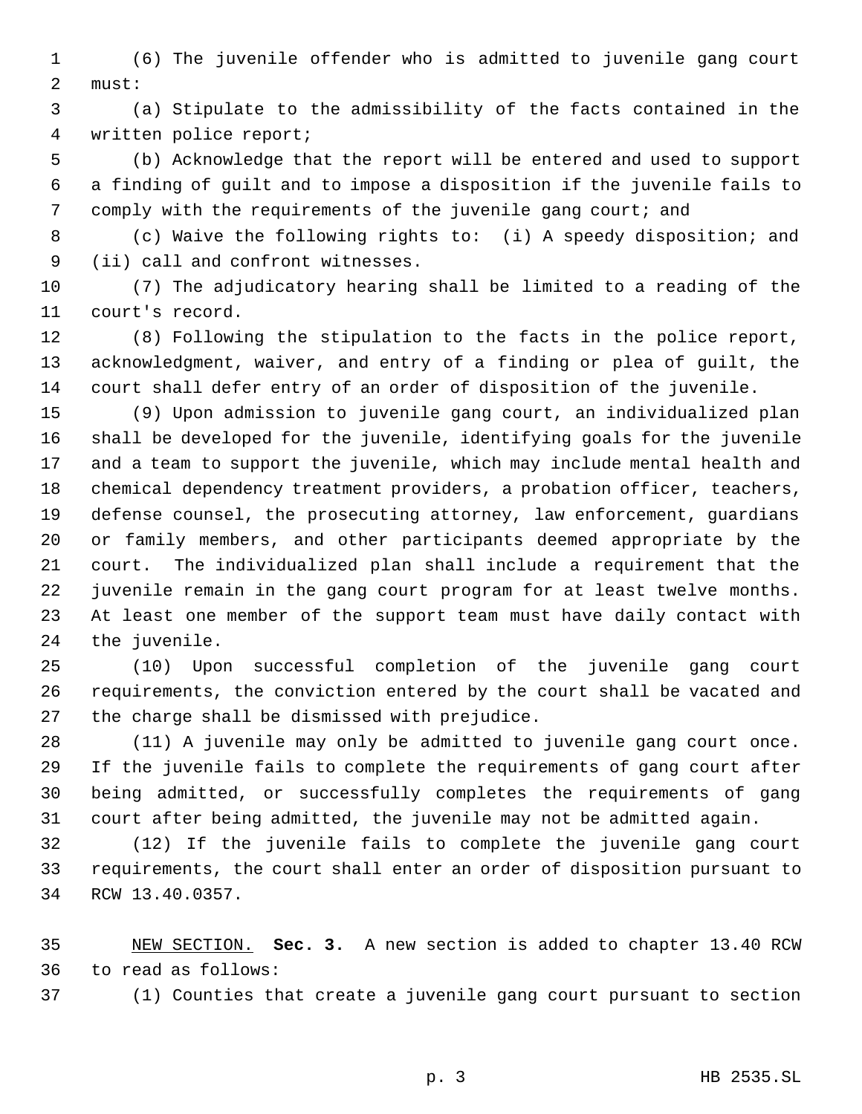(6) The juvenile offender who is admitted to juvenile gang court must:

 (a) Stipulate to the admissibility of the facts contained in the written police report;

 (b) Acknowledge that the report will be entered and used to support a finding of guilt and to impose a disposition if the juvenile fails to comply with the requirements of the juvenile gang court; and

 (c) Waive the following rights to: (i) A speedy disposition; and (ii) call and confront witnesses.

 (7) The adjudicatory hearing shall be limited to a reading of the court's record.

 (8) Following the stipulation to the facts in the police report, acknowledgment, waiver, and entry of a finding or plea of guilt, the court shall defer entry of an order of disposition of the juvenile.

 (9) Upon admission to juvenile gang court, an individualized plan shall be developed for the juvenile, identifying goals for the juvenile and a team to support the juvenile, which may include mental health and chemical dependency treatment providers, a probation officer, teachers, defense counsel, the prosecuting attorney, law enforcement, guardians or family members, and other participants deemed appropriate by the court. The individualized plan shall include a requirement that the juvenile remain in the gang court program for at least twelve months. At least one member of the support team must have daily contact with the juvenile.

 (10) Upon successful completion of the juvenile gang court requirements, the conviction entered by the court shall be vacated and the charge shall be dismissed with prejudice.

 (11) A juvenile may only be admitted to juvenile gang court once. If the juvenile fails to complete the requirements of gang court after being admitted, or successfully completes the requirements of gang court after being admitted, the juvenile may not be admitted again.

 (12) If the juvenile fails to complete the juvenile gang court requirements, the court shall enter an order of disposition pursuant to RCW 13.40.0357.

 NEW SECTION. **Sec. 3.** A new section is added to chapter 13.40 RCW to read as follows:

(1) Counties that create a juvenile gang court pursuant to section